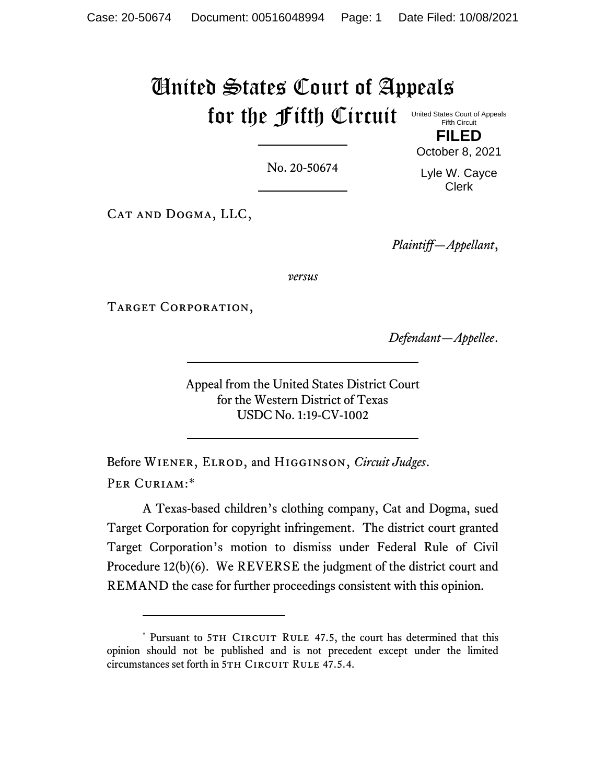### United States Court of Appeals for the Fifth Circuit United States Court of Appeals Fifth Circuit

No. 20-50674

**FILED** October 8, 2021

Lyle W. Cayce Clerk

CAT AND DOGMA, LLC,

*Plaintiff—Appellant*,

*versus*

TARGET CORPORATION,

*Defendant—Appellee*.

Appeal from the United States District Court for the Western District of Texas USDC No. 1:19-CV-1002

Before Wiener, Elrod, and Higginson, *Circuit Judges*. PER CURIAM:\*

A Texas-based children's clothing company, Cat and Dogma, sued Target Corporation for copyright infringement. The district court granted Target Corporation's motion to dismiss under Federal Rule of Civil Procedure 12(b)(6). We REVERSE the judgment of the district court and REMAND the case for further proceedings consistent with this opinion.

<sup>\*</sup> Pursuant to 5TH CIRCUIT RULE 47.5, the court has determined that this opinion should not be published and is not precedent except under the limited circumstances set forth in 5TH CIRCUIT RULE 47.5.4.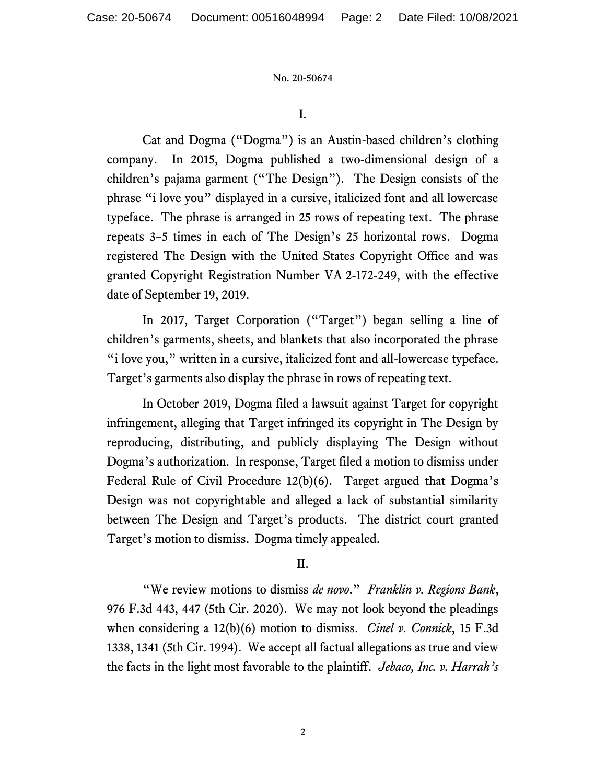I.

Cat and Dogma ("Dogma") is an Austin-based children's clothing company. In 2015, Dogma published a two-dimensional design of a children's pajama garment ("The Design"). The Design consists of the phrase "i love you" displayed in a cursive, italicized font and all lowercase typeface. The phrase is arranged in 25 rows of repeating text. The phrase repeats 3–5 times in each of The Design's 25 horizontal rows. Dogma registered The Design with the United States Copyright Office and was granted Copyright Registration Number VA 2-172-249, with the effective date of September 19, 2019.

In 2017, Target Corporation ("Target") began selling a line of children's garments, sheets, and blankets that also incorporated the phrase "i love you," written in a cursive, italicized font and all-lowercase typeface. Target's garments also display the phrase in rows of repeating text.

In October 2019, Dogma filed a lawsuit against Target for copyright infringement, alleging that Target infringed its copyright in The Design by reproducing, distributing, and publicly displaying The Design without Dogma's authorization. In response, Target filed a motion to dismiss under Federal Rule of Civil Procedure 12(b)(6). Target argued that Dogma's Design was not copyrightable and alleged a lack of substantial similarity between The Design and Target's products. The district court granted Target's motion to dismiss. Dogma timely appealed.

# II.

"We review motions to dismiss *de novo*." *Franklin v. Regions Bank*, 976 F.3d 443, 447 (5th Cir. 2020). We may not look beyond the pleadings when considering a 12(b)(6) motion to dismiss. *Cinel v. Connick*, 15 F.3d 1338, 1341 (5th Cir. 1994). We accept all factual allegations as true and view the facts in the light most favorable to the plaintiff. *Jebaco, Inc. v. Harrah's*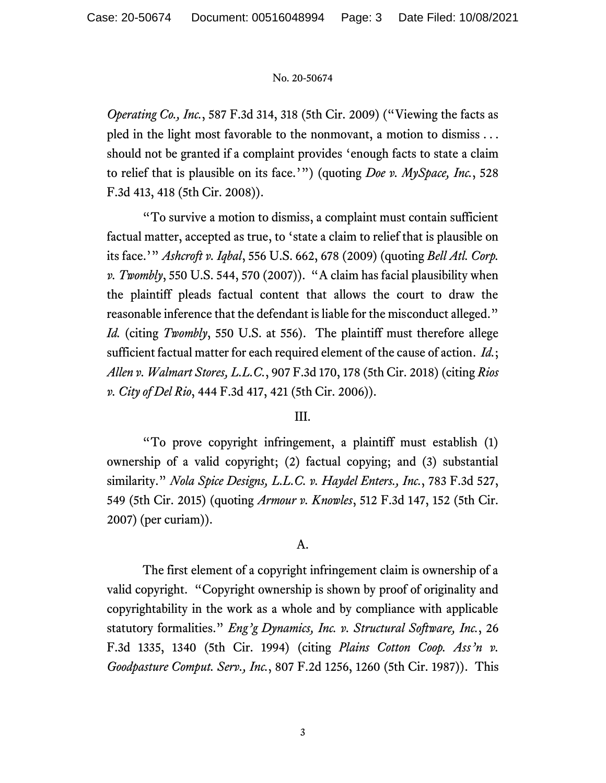*Operating Co., Inc.*, 587 F.3d 314, 318 (5th Cir. 2009) ("Viewing the facts as pled in the light most favorable to the nonmovant, a motion to dismiss . . . should not be granted if a complaint provides 'enough facts to state a claim to relief that is plausible on its face.'") (quoting *Doe v. MySpace, Inc.*, 528 F.3d 413, 418 (5th Cir. 2008)).

"To survive a motion to dismiss, a complaint must contain sufficient factual matter, accepted as true, to 'state a claim to relief that is plausible on its face.'" *Ashcroft v. Iqbal*, 556 U.S. 662, 678 (2009) (quoting *Bell Atl. Corp. v. Twombly*, 550 U.S. 544, 570 (2007)). "A claim has facial plausibility when the plaintiff pleads factual content that allows the court to draw the reasonable inference that the defendant is liable for the misconduct alleged." *Id.* (citing *Twombly*, 550 U.S. at 556). The plaintiff must therefore allege sufficient factual matter for each required element of the cause of action. *Id.*; *Allen v. Walmart Stores, L.L.C.*, 907 F.3d 170, 178 (5th Cir. 2018) (citing *Rios v. City of Del Rio*, 444 F.3d 417, 421 (5th Cir. 2006)).

# III.

"To prove copyright infringement, a plaintiff must establish (1) ownership of a valid copyright; (2) factual copying; and (3) substantial similarity." *Nola Spice Designs, L.L.C. v. Haydel Enters., Inc.*, 783 F.3d 527, 549 (5th Cir. 2015) (quoting *Armour v. Knowles*, 512 F.3d 147, 152 (5th Cir. 2007) (per curiam)).

### A.

The first element of a copyright infringement claim is ownership of a valid copyright. "Copyright ownership is shown by proof of originality and copyrightability in the work as a whole and by compliance with applicable statutory formalities." *Eng'g Dynamics, Inc. v. Structural Software, Inc.*, 26 F.3d 1335, 1340 (5th Cir. 1994) (citing *Plains Cotton Coop. Ass'n v. Goodpasture Comput. Serv., Inc.*, 807 F.2d 1256, 1260 (5th Cir. 1987)). This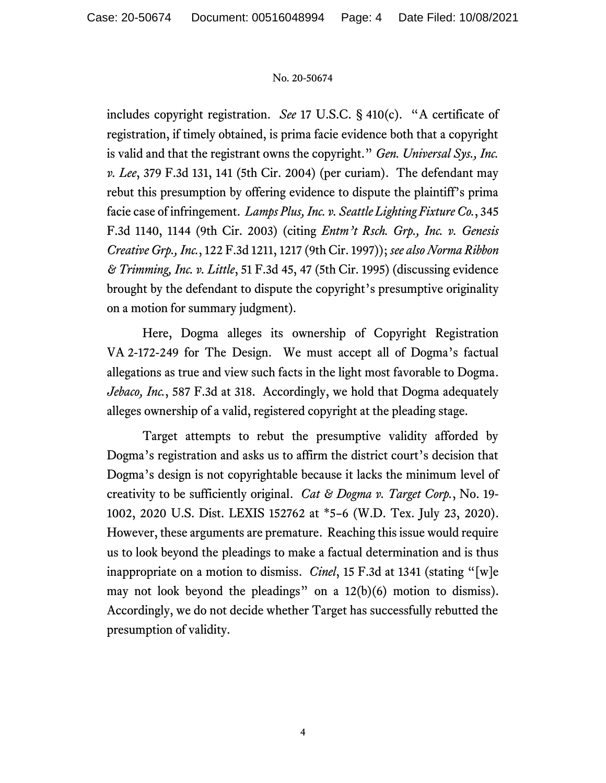includes copyright registration. *See* 17 U.S.C. § 410(c). "A certificate of registration, if timely obtained, is prima facie evidence both that a copyright is valid and that the registrant owns the copyright." *Gen. Universal Sys., Inc. v. Lee*, 379 F.3d 131, 141 (5th Cir. 2004) (per curiam). The defendant may rebut this presumption by offering evidence to dispute the plaintiff's prima facie case of infringement. *Lamps Plus, Inc. v. Seattle Lighting Fixture Co.*, 345 F.3d 1140, 1144 (9th Cir. 2003) (citing *Entm't Rsch. Grp., Inc. v. Genesis Creative Grp., Inc.*, 122 F.3d 1211, 1217 (9th Cir. 1997)); *see also Norma Ribbon & Trimming, Inc. v. Little*, 51 F.3d 45, 47 (5th Cir. 1995) (discussing evidence brought by the defendant to dispute the copyright's presumptive originality on a motion for summary judgment).

Here, Dogma alleges its ownership of Copyright Registration VA 2-172-249 for The Design. We must accept all of Dogma's factual allegations as true and view such facts in the light most favorable to Dogma. *Jebaco, Inc.*, 587 F.3d at 318. Accordingly, we hold that Dogma adequately alleges ownership of a valid, registered copyright at the pleading stage.

Target attempts to rebut the presumptive validity afforded by Dogma's registration and asks us to affirm the district court's decision that Dogma's design is not copyrightable because it lacks the minimum level of creativity to be sufficiently original. *Cat & Dogma v. Target Corp.*, No. 19- 1002, 2020 U.S. Dist. LEXIS 152762 at \*5–6 (W.D. Tex. July 23, 2020). However, these arguments are premature. Reaching this issue would require us to look beyond the pleadings to make a factual determination and is thus inappropriate on a motion to dismiss. *Cinel*, 15 F.3d at 1341 (stating "[w]e may not look beyond the pleadings" on a 12(b)(6) motion to dismiss). Accordingly, we do not decide whether Target has successfully rebutted the presumption of validity.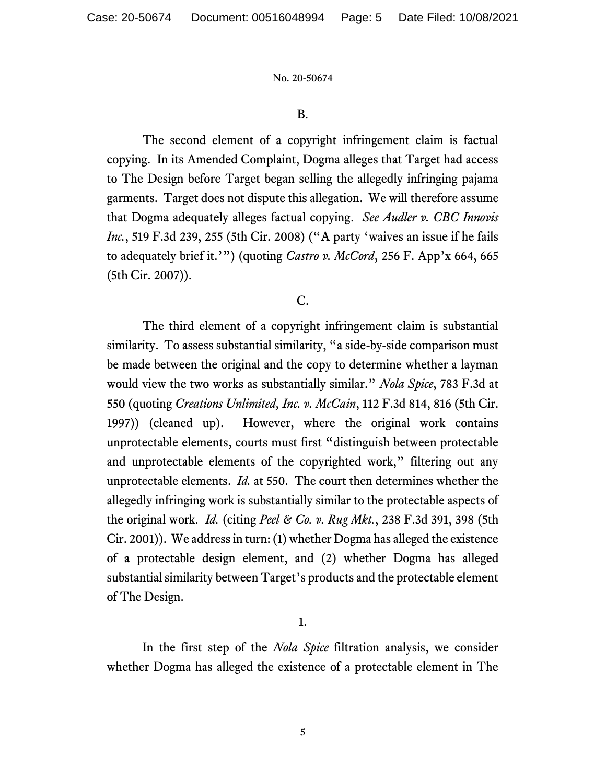### B.

The second element of a copyright infringement claim is factual copying. In its Amended Complaint, Dogma alleges that Target had access to The Design before Target began selling the allegedly infringing pajama garments. Target does not dispute this allegation. We will therefore assume that Dogma adequately alleges factual copying. *See Audler v. CBC Innovis Inc.*, 519 F.3d 239, 255 (5th Cir. 2008) ("A party 'waives an issue if he fails to adequately brief it.'") (quoting *Castro v. McCord*, 256 F. App'x 664, 665 (5th Cir. 2007)).

# C.

The third element of a copyright infringement claim is substantial similarity. To assess substantial similarity, "a side-by-side comparison must be made between the original and the copy to determine whether a layman would view the two works as substantially similar." *Nola Spice*, 783 F.3d at 550 (quoting *Creations Unlimited, Inc. v. McCain*, 112 F.3d 814, 816 (5th Cir. 1997)) (cleaned up). However, where the original work contains unprotectable elements, courts must first "distinguish between protectable and unprotectable elements of the copyrighted work," filtering out any unprotectable elements. *Id.* at 550. The court then determines whether the allegedly infringing work is substantially similar to the protectable aspects of the original work. *Id.* (citing *Peel & Co. v. Rug Mkt.*, 238 F.3d 391, 398 (5th Cir. 2001)). We address in turn: (1) whether Dogma has alleged the existence of a protectable design element, and (2) whether Dogma has alleged substantial similarity between Target's products and the protectable element of The Design.

1.

In the first step of the *Nola Spice* filtration analysis, we consider whether Dogma has alleged the existence of a protectable element in The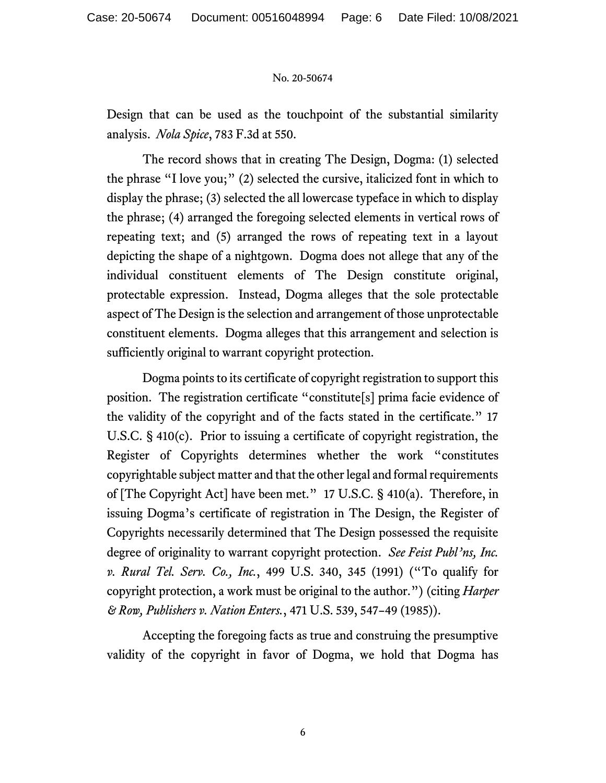Design that can be used as the touchpoint of the substantial similarity analysis. *Nola Spice*, 783 F.3d at 550.

The record shows that in creating The Design, Dogma: (1) selected the phrase "I love you;" (2) selected the cursive, italicized font in which to display the phrase; (3) selected the all lowercase typeface in which to display the phrase; (4) arranged the foregoing selected elements in vertical rows of repeating text; and (5) arranged the rows of repeating text in a layout depicting the shape of a nightgown. Dogma does not allege that any of the individual constituent elements of The Design constitute original, protectable expression. Instead, Dogma alleges that the sole protectable aspect of The Design is the selection and arrangement of those unprotectable constituent elements. Dogma alleges that this arrangement and selection is sufficiently original to warrant copyright protection.

Dogma points to its certificate of copyright registration to support this position. The registration certificate "constitute[s] prima facie evidence of the validity of the copyright and of the facts stated in the certificate." 17 U.S.C. § 410(c). Prior to issuing a certificate of copyright registration, the Register of Copyrights determines whether the work "constitutes copyrightable subject matter and that the other legal and formal requirements of [The Copyright Act] have been met." 17 U.S.C. § 410(a). Therefore, in issuing Dogma's certificate of registration in The Design, the Register of Copyrights necessarily determined that The Design possessed the requisite degree of originality to warrant copyright protection. *See Feist Publ'ns, Inc. v. Rural Tel. Serv. Co., Inc.*, 499 U.S. 340, 345 (1991) ("To qualify for copyright protection, a work must be original to the author.") (citing *Harper & Row, Publishers v. Nation Enters.*, 471 U.S. 539, 547–49 (1985)).

Accepting the foregoing facts as true and construing the presumptive validity of the copyright in favor of Dogma, we hold that Dogma has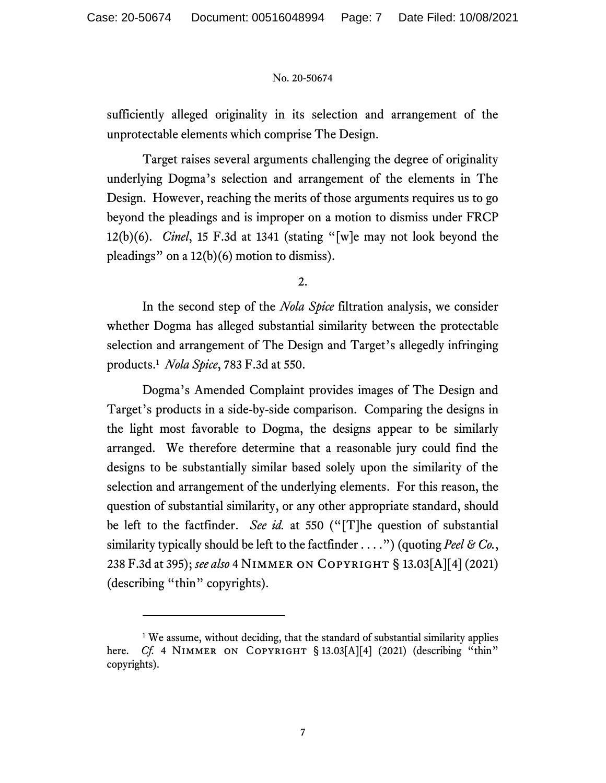sufficiently alleged originality in its selection and arrangement of the unprotectable elements which comprise The Design.

Target raises several arguments challenging the degree of originality underlying Dogma's selection and arrangement of the elements in The Design. However, reaching the merits of those arguments requires us to go beyond the pleadings and is improper on a motion to dismiss under FRCP 12(b)(6). *Cinel*, 15 F.3d at 1341 (stating "[w]e may not look beyond the pleadings" on a 12(b)(6) motion to dismiss).

2.

In the second step of the *Nola Spice* filtration analysis, we consider whether Dogma has alleged substantial similarity between the protectable selection and arrangement of The Design and Target's allegedly infringing products. 1 *Nola Spice*, 783 F.3d at 550.

Dogma's Amended Complaint provides images of The Design and Target's products in a side-by-side comparison. Comparing the designs in the light most favorable to Dogma, the designs appear to be similarly arranged. We therefore determine that a reasonable jury could find the designs to be substantially similar based solely upon the similarity of the selection and arrangement of the underlying elements. For this reason, the question of substantial similarity, or any other appropriate standard, should be left to the factfinder. *See id.* at 550 ("[T]he question of substantial similarity typically should be left to the factfinder . . . .") (quoting *Peel & Co.*, 238 F.3d at 395); *see also* 4 Nimmer on Copyright § 13.03[A][4] (2021) (describing "thin" copyrights).

<sup>&</sup>lt;sup>1</sup> We assume, without deciding, that the standard of substantial similarity applies here. *Cf.* 4 NIMMER ON COPYRIGHT § 13.03[A][4] (2021) (describing "thin" copyrights).